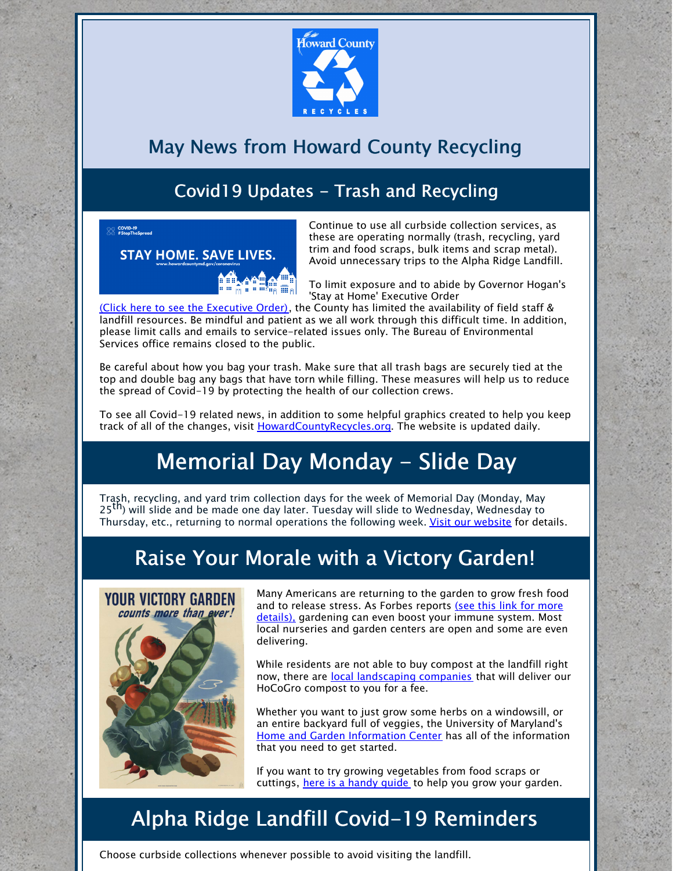

### May News from Howard County Recycling

### Covid19 Updates - Trash and Recycling

ing COVID-19<br>Sall #StopTheSpread



Continue to use all curbside collection services, as these are operating normally (trash, recycling, yard trim and food scraps, bulk items and scrap metal). Avoid unnecessary trips to the Alpha Ridge Landfill.

To limit exposure and to abide by Governor Hogan's 'Stay at Home' Executive Order

(Click here to see the [Executive](https://governor.maryland.gov/covid-19-pandemic-orders-and-guidance/) Order), the County has limited the availability of field staff & landfill resources. Be mindful and patient as we all work through this difficult time. In addition, please limit calls and emails to service-related issues only. The Bureau of Environmental Services office remains closed to the public.

Be careful about how you bag your trash. Make sure that all trash bags are securely tied at the top and double bag any bags that have torn while filling. These measures will help us to reduce the spread of Covid-19 by protecting the health of our collection crews.

To see all Covid-19 related news, in addition to some helpful graphics created to help you keep track of all of the changes, visit [HowardCountyRecycles.org](http://www.howardcountyrecycles.org). The website is updated daily.

# Memorial Day Monday - Slide Day

Trash, recycling, and yard trim collection days for the week of Memorial Day (Monday, May 25<sup>th</sup>) will slide and be made one day later. Tuesday will slide to Wednesday, Wednesday to Thursday, etc., returning to normal operations the following week. Visit our [website](https://www.howardcountymd.gov/Departments/Public-Works/Bureau-Of-Environmental-Services/Curbside-Collections/Holiday-Schedule-for-Recycling-Trash) for details.

## Raise Your Morale with a Victory Garden!



Many Americans are returning to the garden to grow fresh food and to release stress. As Forbes reports (see this link for more details), [gardening](https://www.forbes.com/sites/jamiegold/2020/04/27/21st-century-victory-gardens-for-anti-covid-immunity-boosting/#f65e4803c086) can even boost your immune system. Most local nurseries and garden centers are open and some are even delivering.

While residents are not able to buy compost at the landfill right now, there are local [landscaping](https://www.howardcountymd.gov/LinkClick.aspx?fileticket=bPSvAzkptBk%3d&portalid=0) companies that will deliver our HoCoGro compost to you for a fee.

Whether you want to just grow some herbs on a windowsill, or an entire backyard full of veggies, the University of Maryland's Home and Garden [Information](https://extension.umd.edu/hgic) Center has all of the information that you need to get started.

If you want to try growing vegetables from food scraps or cuttings, here is a [handy](https://empressofdirt.net/regrow-vegetable-scraps/) quide to help you grow your garden.

# Alpha Ridge Landfill Covid-19 Reminders

Choose curbside collections whenever possible to avoid visiting the landfill.